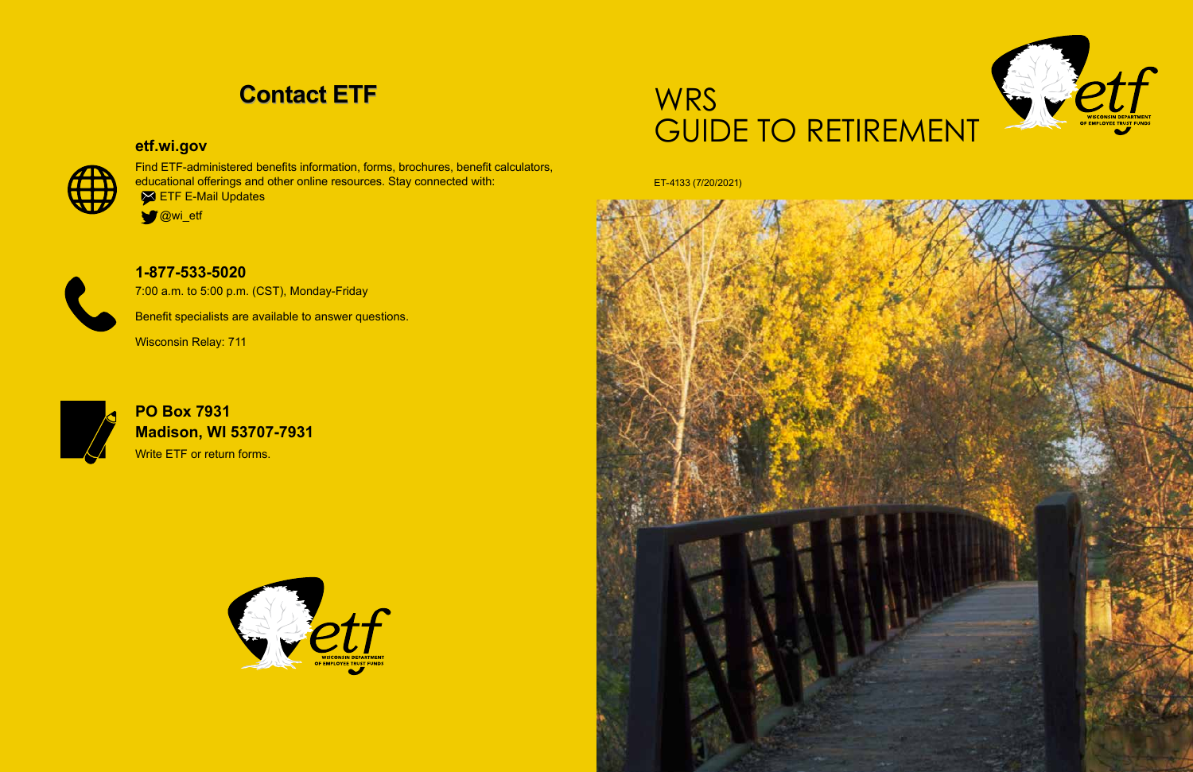

# **WRS** GUIDE TO RETIREMENT

ET-4133 (7/20/2021)

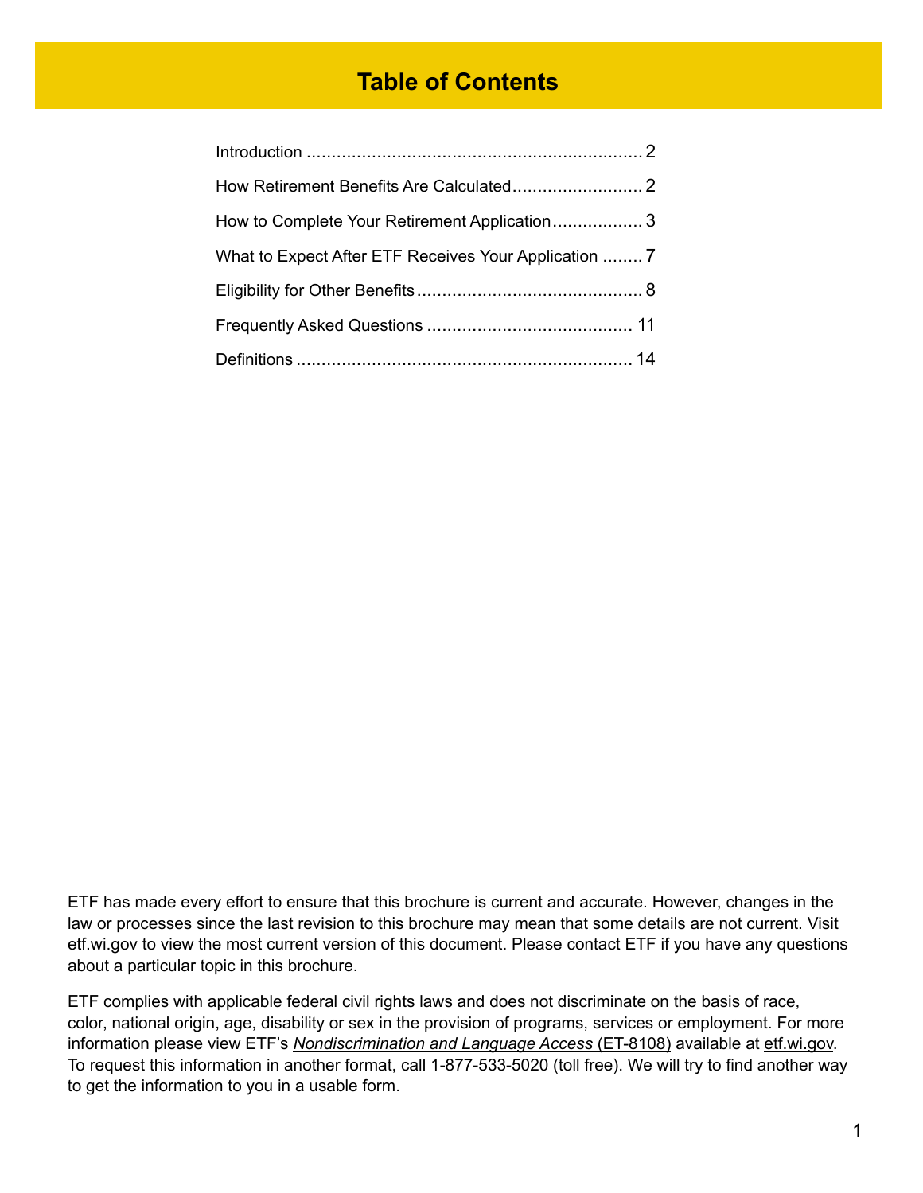# **Table of Contents**

| How to Complete Your Retirement Application 3         |  |
|-------------------------------------------------------|--|
| What to Expect After ETF Receives Your Application  7 |  |
|                                                       |  |
|                                                       |  |
|                                                       |  |

ETF has made every effort to ensure that this brochure is current and accurate. However, changes in the law or processes since the last revision to this brochure may mean that some details are not current. Visit etf.wi.gov to view the most current version of this document. Please contact ETF if you have any questions about a particular topic in this brochure.

ETF complies with applicable federal civil rights laws and does not discriminate on the basis of race, color, national origin, age, disability or sex in the provision of programs, services or employment. For more information please view ETF's *[Nondiscrimination and Language Access](https://etf.wi.gov/resource/nondiscrimination-and-language-access)* (ET-8108) available at [etf.wi.gov](http://etf.wi.gov). To request this information in another format, call 1-877-533-5020 (toll free). We will try to find another way to get the information to you in a usable form.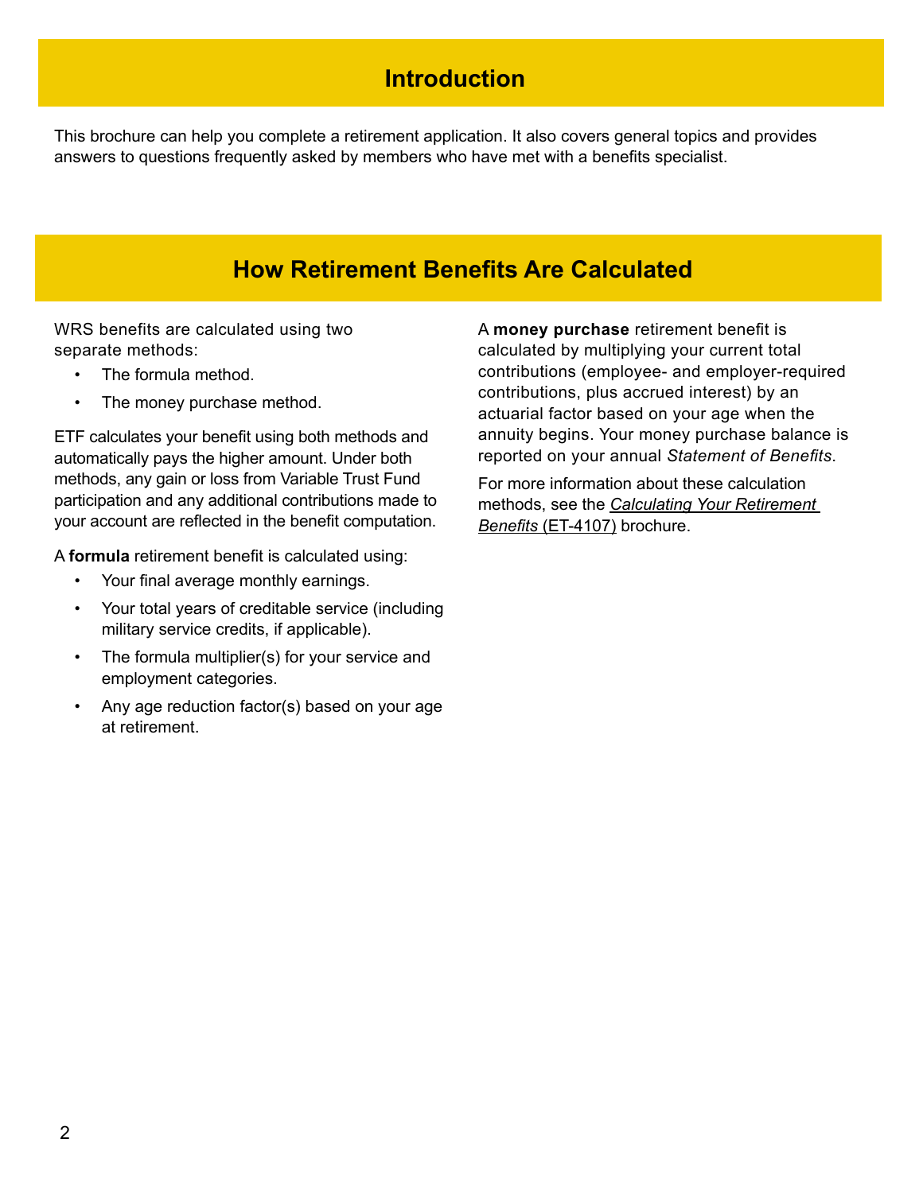# **Introduction**

This brochure can help you complete a retirement application. It also covers general topics and provides answers to questions frequently asked by members who have met with a benefits specialist.

# **How Retirement Benefits Are Calculated**

WRS benefits are calculated using two separate methods:

- The formula method.
- The money purchase method.

ETF calculates your benefit using both methods and automatically pays the higher amount. Under both methods, any gain or loss from Variable Trust Fund participation and any additional contributions made to your account are reflected in the benefit computation.

A **formula** retirement benefit is calculated using:

- Your final average monthly earnings.
- Your total years of creditable service (including military service credits, if applicable).
- The formula multiplier(s) for your service and employment categories.
- Any age reduction factor(s) based on your age at retirement.

A **money purchase** retirement benefit is calculated by multiplying your current total contributions (employee- and employer-required contributions, plus accrued interest) by an actuarial factor based on your age when the annuity begins. Your money purchase balance is reported on your annual *Statement of Benefits*.

For more information about these calculation methods, see the *[Calculating Your Retirement](http://etf.wi.gov/publications/et4107.pdf)  Benefits* [\(ET-4107\)](http://etf.wi.gov/publications/et4107.pdf) brochure.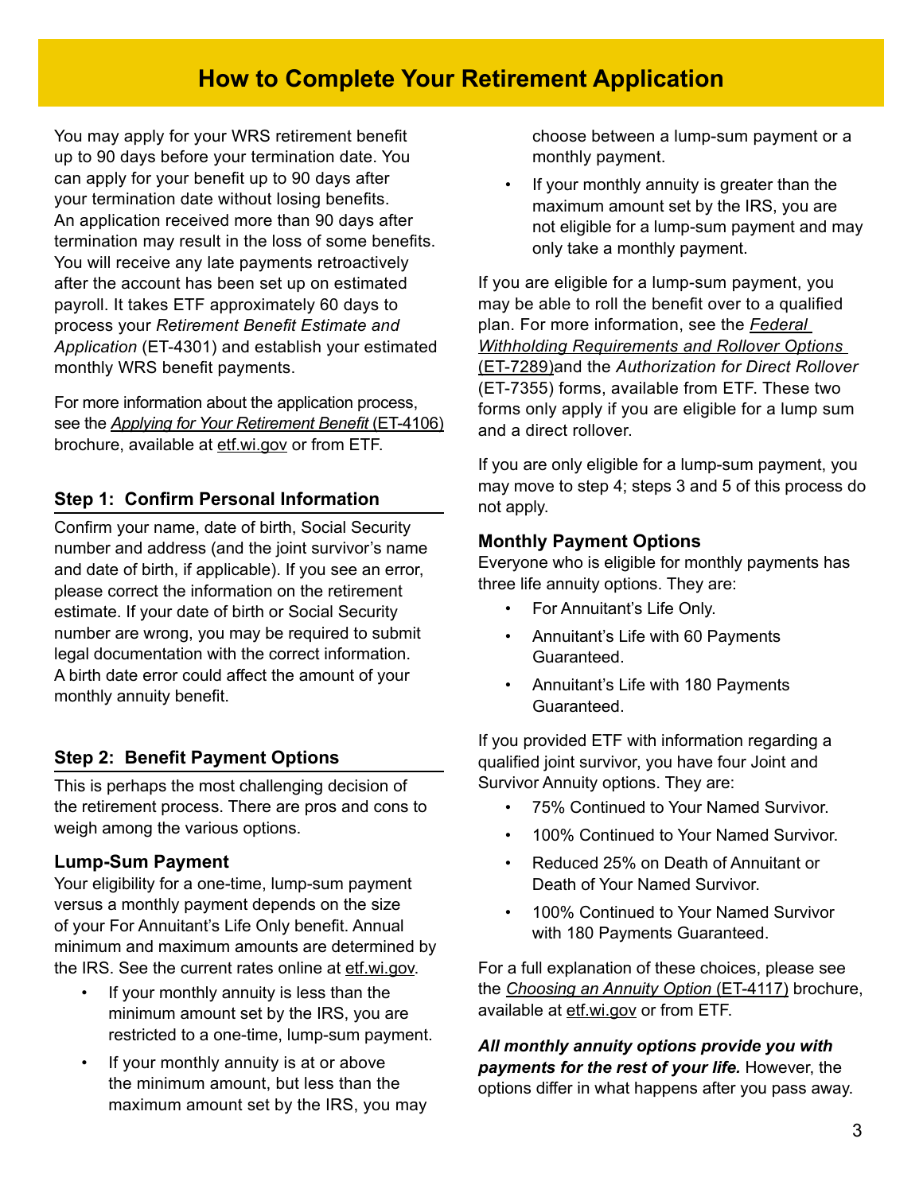# **How to Complete Your Retirement Application**

You may apply for your WRS retirement benefit up to 90 days before your termination date. You can apply for your benefit up to 90 days after your termination date without losing benefits. An application received more than 90 days after termination may result in the loss of some benefits. You will receive any late payments retroactively after the account has been set up on estimated payroll. It takes ETF approximately 60 days to process your *Retirement Benefit Estimate and Application* (ET-4301) and establish your estimated monthly WRS benefit payments.

For more information about the application process, see the *[Applying for Your Retirement Benefit](http://etf.wi.gov/publications/et4106.pdf)* (ET-4106) brochure, available at [etf.wi.gov](http://etf.wi.gov) or from ETF.

## **Step 1: Confirm Personal Information**

Confirm your name, date of birth, Social Security number and address (and the joint survivor's name and date of birth, if applicable). If you see an error, please correct the information on the retirement estimate. If your date of birth or Social Security number are wrong, you may be required to submit legal documentation with the correct information. A birth date error could affect the amount of your monthly annuity benefit.

## **Step 2: Benefit Payment Options**

This is perhaps the most challenging decision of the retirement process. There are pros and cons to weigh among the various options.

#### **Lump-Sum Payment**

Your eligibility for a one-time, lump-sum payment versus a monthly payment depends on the size of your For Annuitant's Life Only benefit. Annual minimum and maximum amounts are determined by the IRS. See the current rates online at [etf.wi.gov](http://etf.wi.gov).

- If your monthly annuity is less than the minimum amount set by the IRS, you are restricted to a one-time, lump-sum payment.
- If your monthly annuity is at or above the minimum amount, but less than the maximum amount set by the IRS, you may

choose between a lump-sum payment or a monthly payment.

If your monthly annuity is greater than the maximum amount set by the IRS, you are not eligible for a lump-sum payment and may only take a monthly payment.

If you are eligible for a lump-sum payment, you may be able to roll the benefit over to a qualified plan. For more information, see the *[Federal](http://etf.wi.gov/publications/et7289.pdf)  [Withholding Requirements and Rollover Options](http://etf.wi.gov/publications/et7289.pdf)* [\(ET-7289\)a](http://etf.wi.gov/publications/et7289.pdf)nd the *Authorization for Direct Rollover* (ET-7355) forms, available from ETF. These two forms only apply if you are eligible for a lump sum and a direct rollover.

If you are only eligible for a lump-sum payment, you may move to step 4; steps 3 and 5 of this process do not apply.

#### **Monthly Payment Options**

Everyone who is eligible for monthly payments has three life annuity options. They are:

- For Annuitant's Life Only.
- Annuitant's Life with 60 Payments Guaranteed.
- Annuitant's Life with 180 Payments Guaranteed.

If you provided ETF with information regarding a qualified joint survivor, you have four Joint and Survivor Annuity options. They are:

- 75% Continued to Your Named Survivor.
- 100% Continued to Your Named Survivor.
- Reduced 25% on Death of Annuitant or Death of Your Named Survivor.
- 100% Continued to Your Named Survivor with 180 Payments Guaranteed.

For a full explanation of these choices, please see the *[Choosing an Annuity Option](http://etf.wi.gov/publications/et4117.pdf)* (ET-4117) brochure, available at [etf.wi.gov](http://etf.wi.gov) or from ETF.

*All monthly annuity options provide you with payments for the rest of your life.* However, the options differ in what happens after you pass away.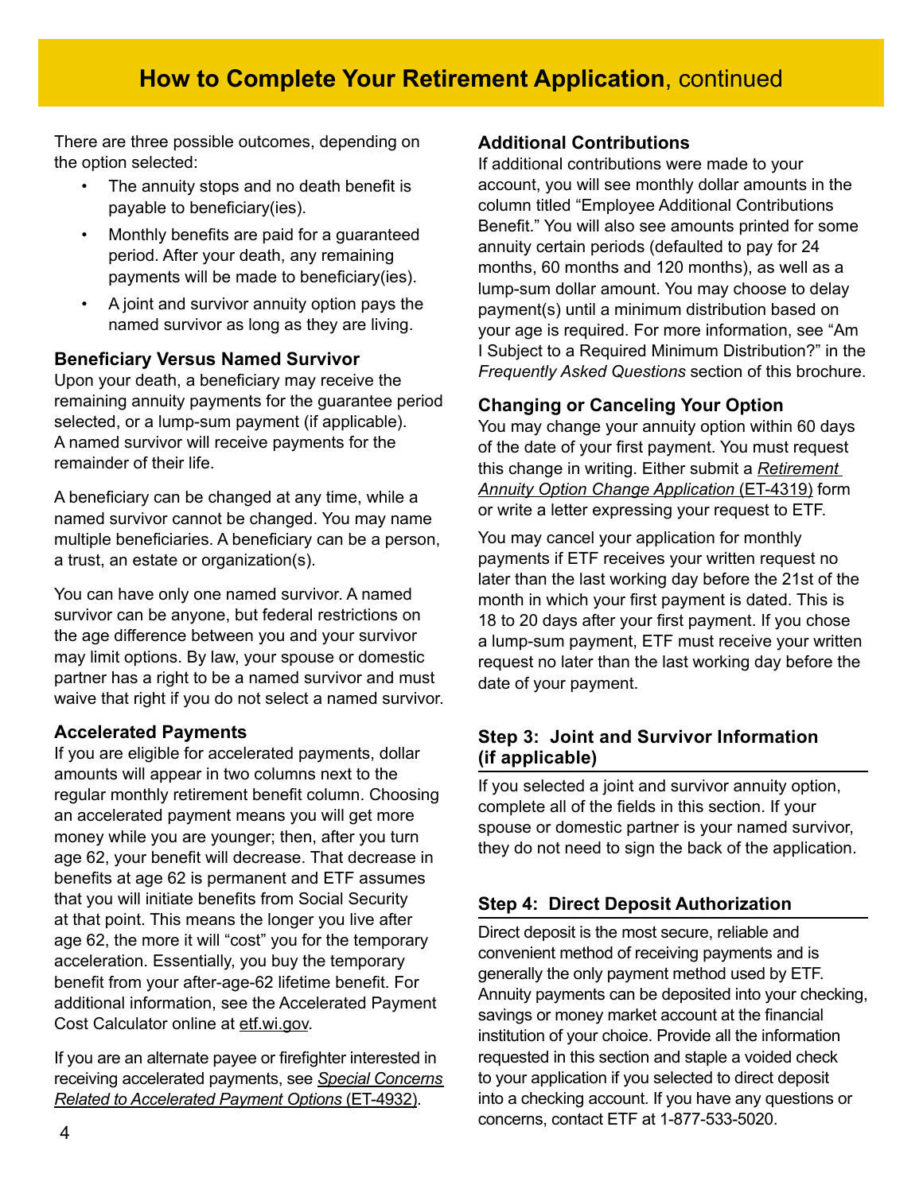# **How to Complete Your Retirement Application**, continued

There are three possible outcomes, depending on the option selected:

- The annuity stops and no death benefit is payable to beneficiary(ies).
- Monthly benefits are paid for a guaranteed period. After your death, any remaining payments will be made to beneficiary(ies).
- A joint and survivor annuity option pays the named survivor as long as they are living.

#### **Beneficiary Versus Named Survivor**

Upon your death, a beneficiary may receive the remaining annuity payments for the guarantee period selected, or a lump-sum payment (if applicable). A named survivor will receive payments for the remainder of their life.

A beneficiary can be changed at any time, while a named survivor cannot be changed. You may name multiple beneficiaries. A beneficiary can be a person, a trust, an estate or organization(s).

You can have only one named survivor. A named survivor can be anyone, but federal restrictions on the age difference between you and your survivor may limit options. By law, your spouse or domestic partner has a right to be a named survivor and must waive that right if you do not select a named survivor.

#### **Accelerated Payments**

If you are eligible for accelerated payments, dollar amounts will appear in two columns next to the regular monthly retirement benefit column. Choosing an accelerated payment means you will get more money while you are younger; then, after you turn age 62, your benefit will decrease. That decrease in benefits at age 62 is permanent and ETF assumes that you will initiate benefits from Social Security at that point. This means the longer you live after age 62, the more it will "cost" you for the temporary acceleration. Essentially, you buy the temporary benefit from your after-age-62 lifetime benefit. For additional information, see the Accelerated Payment Cost Calculator online at [etf.wi.gov](http://etf.wi.gov).

If you are an alternate payee or firefighter interested in receiving accelerated payments, see *[Special Concerns](http://etf.wi.gov/publications/et4932.pdf)  [Related to Accelerated Payment Options](http://etf.wi.gov/publications/et4932.pdf)* (ET-4932).

#### **Additional Contributions**

If additional contributions were made to your account, you will see monthly dollar amounts in the column titled "Employee Additional Contributions Benefit." You will also see amounts printed for some annuity certain periods (defaulted to pay for 24 months, 60 months and 120 months), as well as a lump-sum dollar amount. You may choose to delay payment(s) until a minimum distribution based on your age is required. For more information, see "Am I Subject to a Required Minimum Distribution?" in the *Frequently Asked Questions* section of this brochure.

## **Changing or Canceling Your Option**

You may change your annuity option within 60 days of the date of your first payment. You must request this change in writing. Either submit a *[Retirement](http://etf.wi.gov/publications/et4319.pdf)  [Annuity Option Change Application](http://etf.wi.gov/publications/et4319.pdf)* (ET-4319) form or write a letter expressing your request to ETF.

You may cancel your application for monthly payments if ETF receives your written request no later than the last working day before the 21st of the month in which your first payment is dated. This is 18 to 20 days after your first payment. If you chose a lump-sum payment, ETF must receive your written request no later than the last working day before the date of your payment.

## **Step 3: Joint and Survivor Information (if applicable)**

If you selected a joint and survivor annuity option, complete all of the fields in this section. If your spouse or domestic partner is your named survivor, they do not need to sign the back of the application.

## **Step 4: Direct Deposit Authorization**

Direct deposit is the most secure, reliable and convenient method of receiving payments and is generally the only payment method used by ETF. Annuity payments can be deposited into your checking, savings or money market account at the financial institution of your choice. Provide all the information requested in this section and staple a voided check to your application if you selected to direct deposit into a checking account. If you have any questions or concerns, contact ETF at 1-877-533-5020.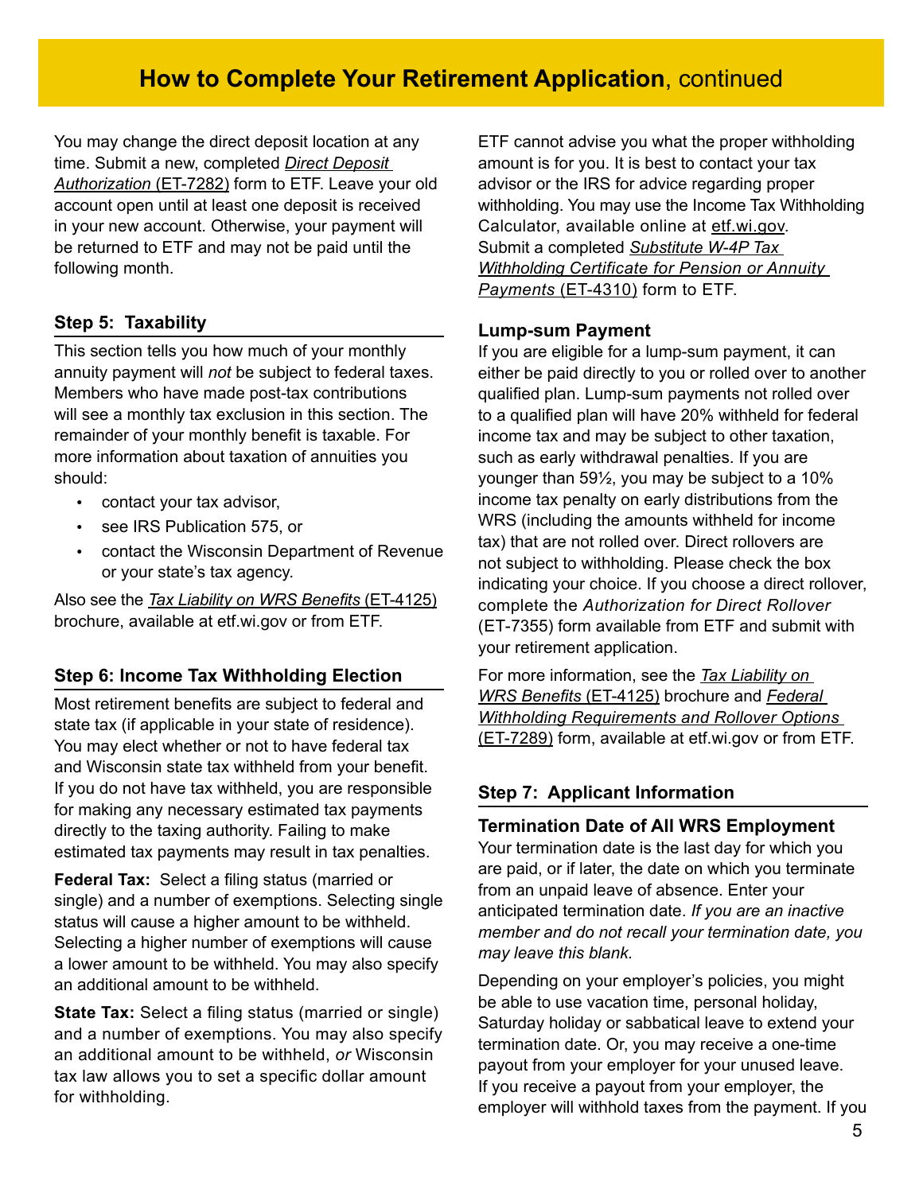# **How to Complete Your Retirement Application**, continued

You may change the direct deposit location at any time. Submit a new, completed *[Direct Deposit](http://etf.wi.gov/publications/et7282.pdf)  [Authorization](http://etf.wi.gov/publications/et7282.pdf)* (ET-7282) form to ETF. Leave your old account open until at least one deposit is received in your new account. Otherwise, your payment will be returned to ETF and may not be paid until the following month.

# **Step 5: Taxability**

This section tells you how much of your monthly annuity payment will *not* be subject to federal taxes. Members who have made post-tax contributions will see a monthly tax exclusion in this section. The remainder of your monthly benefit is taxable. For more information about taxation of annuities you should:

- contact your tax advisor,
- see IRS Publication 575, or
- contact the Wisconsin Department of Revenue or your state's tax agency.

Also see the *[Tax Liability on WRS Benefits](http://etf.wi.gov/publications/et4125.pdf)* (ET-4125) brochure, available at etf.wi.gov or from ETF.

## **Step 6: Income Tax Withholding Election**

Most retirement benefits are subject to federal and state tax (if applicable in your state of residence). You may elect whether or not to have federal tax and Wisconsin state tax withheld from your benefit. If you do not have tax withheld, you are responsible for making any necessary estimated tax payments directly to the taxing authority. Failing to make estimated tax payments may result in tax penalties.

**Federal Tax:** Select a filing status (married or single) and a number of exemptions. Selecting single status will cause a higher amount to be withheld. Selecting a higher number of exemptions will cause a lower amount to be withheld. You may also specify an additional amount to be withheld.

**State Tax:** Select a filing status (married or single) and a number of exemptions. You may also specify an additional amount to be withheld, *or* Wisconsin tax law allows you to set a specific dollar amount for withholding.

ETF cannot advise you what the proper withholding amount is for you. It is best to contact your tax advisor or the IRS for advice regarding proper withholding. You may use the Income Tax Withholding Calculator, available online at [etf.wi.gov](http://etf.wi.gov). Submit a completed *Substitute W-4P Tax Withholding Certificate for Pension or Annuity Payments* [\(ET-4310\) form](http://etf.wi.gov/publications/et4310.pdf) to ETF.

#### **Lump-sum Payment**

If you are eligible for a lump-sum payment, it can either be paid directly to you or rolled over to another qualified plan. Lump-sum payments not rolled over to a qualified plan will have 20% withheld for federal income tax and may be subject to other taxation, such as early withdrawal penalties. If you are younger than 59½, you may be subject to a 10% income tax penalty on early distributions from the WRS (including the amounts withheld for income tax) that are not rolled over. Direct rollovers are not subject to withholding. Please check the box indicating your choice. If you choose a direct rollover, complete the *Authorization for Direct Rollover* (ET-7355) form available from ETF and submit with your retirement application.

For more information, see the *[Tax Liability on](http://etf.wi.gov/publications/et4125.pdf)  [WRS Benefits](http://etf.wi.gov/publications/et4125.pdf)* (ET-4125) brochure and *[Federal](http://etf.wi.gov/publications/et7289.pdf)  [Withholding Requirements and Rollover Options](http://etf.wi.gov/publications/et7289.pdf)* [\(ET-7289\)](http://etf.wi.gov/publications/et7289.pdf) form, available at etf.wi.gov or from ETF.

## **Step 7: Applicant Information**

#### **Termination Date of All WRS Employment**

Your termination date is the last day for which you are paid, or if later, the date on which you terminate from an unpaid leave of absence. Enter your anticipated termination date. *If you are an inactive member and do not recall your termination date, you may leave this blank.*

Depending on your employer's policies, you might be able to use vacation time, personal holiday, Saturday holiday or sabbatical leave to extend your termination date. Or, you may receive a one-time payout from your employer for your unused leave. If you receive a payout from your employer, the employer will withhold taxes from the payment. If you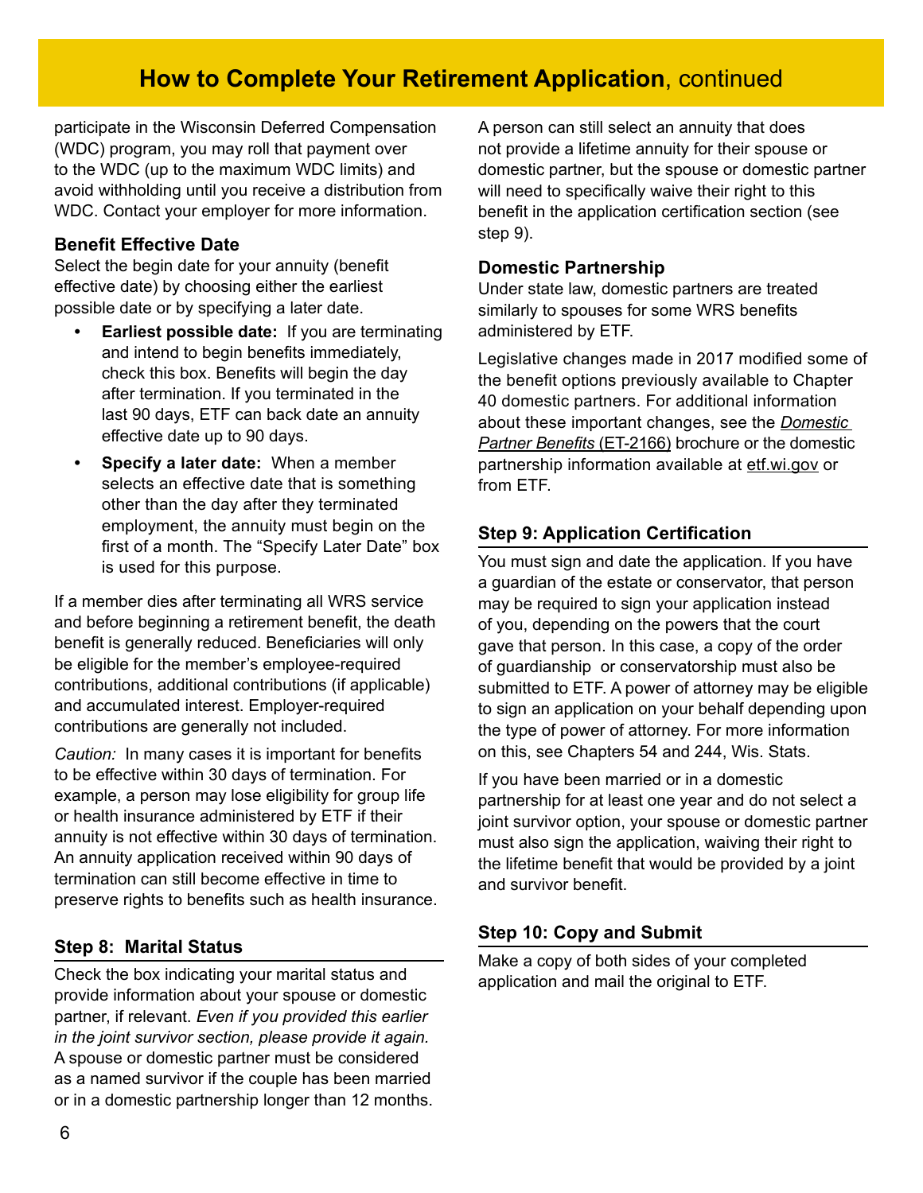# **How to Complete Your Retirement Application**, continued

participate in the Wisconsin Deferred Compensation (WDC) program, you may roll that payment over to the WDC (up to the maximum WDC limits) and avoid withholding until you receive a distribution from WDC. Contact your employer for more information.

#### **Benefit Effective Date**

Select the begin date for your annuity (benefit effective date) by choosing either the earliest possible date or by specifying a later date.

- **• Earliest possible date:** If you are terminating and intend to begin benefits immediately, check this box. Benefits will begin the day after termination. If you terminated in the last 90 days, ETF can back date an annuity effective date up to 90 days.
- **• Specify a later date:** When a member selects an effective date that is something other than the day after they terminated employment, the annuity must begin on the first of a month. The "Specify Later Date" box is used for this purpose.

If a member dies after terminating all WRS service and before beginning a retirement benefit, the death benefit is generally reduced. Beneficiaries will only be eligible for the member's employee-required contributions, additional contributions (if applicable) and accumulated interest. Employer-required contributions are generally not included.

*Caution:* In many cases it is important for benefits to be effective within 30 days of termination. For example, a person may lose eligibility for group life or health insurance administered by ETF if their annuity is not effective within 30 days of termination. An annuity application received within 90 days of termination can still become effective in time to preserve rights to benefits such as health insurance.

## **Step 8: Marital Status**

Check the box indicating your marital status and provide information about your spouse or domestic partner, if relevant. *Even if you provided this earlier in the joint survivor section, please provide it again.*  A spouse or domestic partner must be considered as a named survivor if the couple has been married or in a domestic partnership longer than 12 months. A person can still select an annuity that does not provide a lifetime annuity for their spouse or domestic partner, but the spouse or domestic partner will need to specifically waive their right to this benefit in the application certification section (see step 9).

#### **Domestic Partnership**

Under state law, domestic partners are treated similarly to spouses for some WRS benefits administered by ETF.

Legislative changes made in 2017 modified some of the benefit options previously available to Chapter 40 domestic partners. For additional information about these important changes, see the *[Domestic](https://etf.wi.gov/resource/domestic-partner-benefits)  [Partner Benefits](https://etf.wi.gov/resource/domestic-partner-benefits)* (ET-2166) brochure or the domestic partnership information available at [etf.wi.gov](http://etf.wi.gov) or from ETF.

## **Step 9: Application Certification**

You must sign and date the application. If you have a guardian of the estate or conservator, that person may be required to sign your application instead of you, depending on the powers that the court gave that person. In this case, a copy of the order of guardianship or conservatorship must also be submitted to ETF. A power of attorney may be eligible to sign an application on your behalf depending upon the type of power of attorney. For more information on this, see Chapters 54 and 244, Wis. Stats.

If you have been married or in a domestic partnership for at least one year and do not select a joint survivor option, your spouse or domestic partner must also sign the application, waiving their right to the lifetime benefit that would be provided by a joint and survivor benefit.

## **Step 10: Copy and Submit**

Make a copy of both sides of your completed application and mail the original to ETF.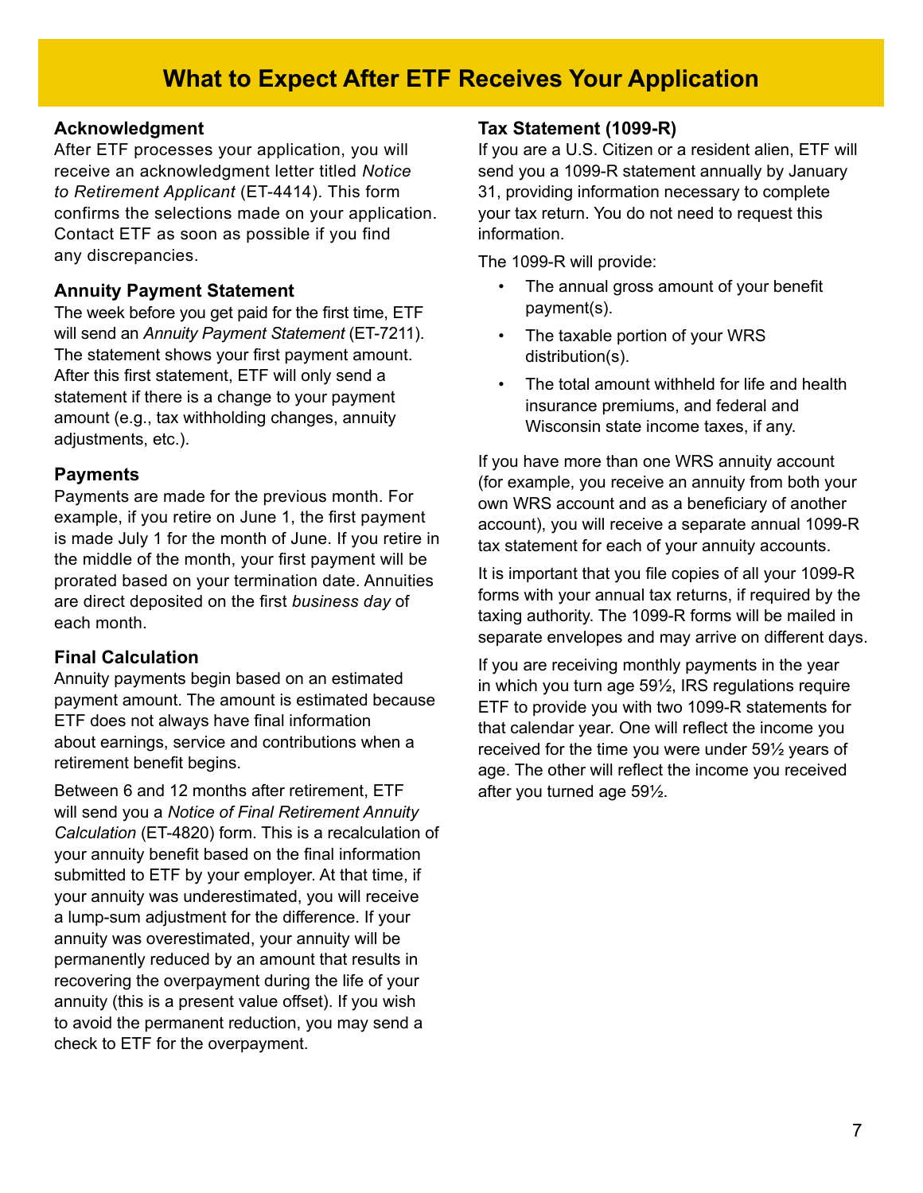# **What to Expect After ETF Receives Your Application**

#### **Acknowledgment**

After ETF processes your application, you will receive an acknowledgment letter titled *Notice to Retirement Applicant* (ET-4414). This form confirms the selections made on your application. Contact ETF as soon as possible if you find any discrepancies.

#### **Annuity Payment Statement**

The week before you get paid for the first time, ETF will send an *Annuity Payment Statement* (ET-7211). The statement shows your first payment amount. After this first statement, ETF will only send a statement if there is a change to your payment amount (e.g., tax withholding changes, annuity adjustments, etc.).

#### **Payments**

Payments are made for the previous month. For example, if you retire on June 1, the first payment is made July 1 for the month of June. If you retire in the middle of the month, your first payment will be prorated based on your termination date. Annuities are direct deposited on the first *business day* of each month.

#### **Final Calculation**

Annuity payments begin based on an estimated payment amount. The amount is estimated because ETF does not always have final information about earnings, service and contributions when a retirement benefit begins.

Between 6 and 12 months after retirement, ETF will send you a *Notice of Final Retirement Annuity Calculation* (ET-4820) form. This is a recalculation of your annuity benefit based on the final information submitted to ETF by your employer. At that time, if your annuity was underestimated, you will receive a lump-sum adjustment for the difference. If your annuity was overestimated, your annuity will be permanently reduced by an amount that results in recovering the overpayment during the life of your annuity (this is a present value offset). If you wish to avoid the permanent reduction, you may send a check to ETF for the overpayment.

#### **Tax Statement (1099-R)**

If you are a U.S. Citizen or a resident alien, ETF will send you a 1099-R statement annually by January 31, providing information necessary to complete your tax return. You do not need to request this information.

The 1099-R will provide:

- The annual gross amount of your benefit payment(s).
- The taxable portion of your WRS distribution(s).
- The total amount withheld for life and health insurance premiums, and federal and Wisconsin state income taxes, if any.

If you have more than one WRS annuity account (for example, you receive an annuity from both your own WRS account and as a beneficiary of another account), you will receive a separate annual 1099-R tax statement for each of your annuity accounts.

It is important that you file copies of all your 1099-R forms with your annual tax returns, if required by the taxing authority. The 1099-R forms will be mailed in separate envelopes and may arrive on different days.

If you are receiving monthly payments in the year in which you turn age 59½, IRS regulations require ETF to provide you with two 1099-R statements for that calendar year. One will reflect the income you received for the time you were under 59½ years of age. The other will reflect the income you received after you turned age 59½.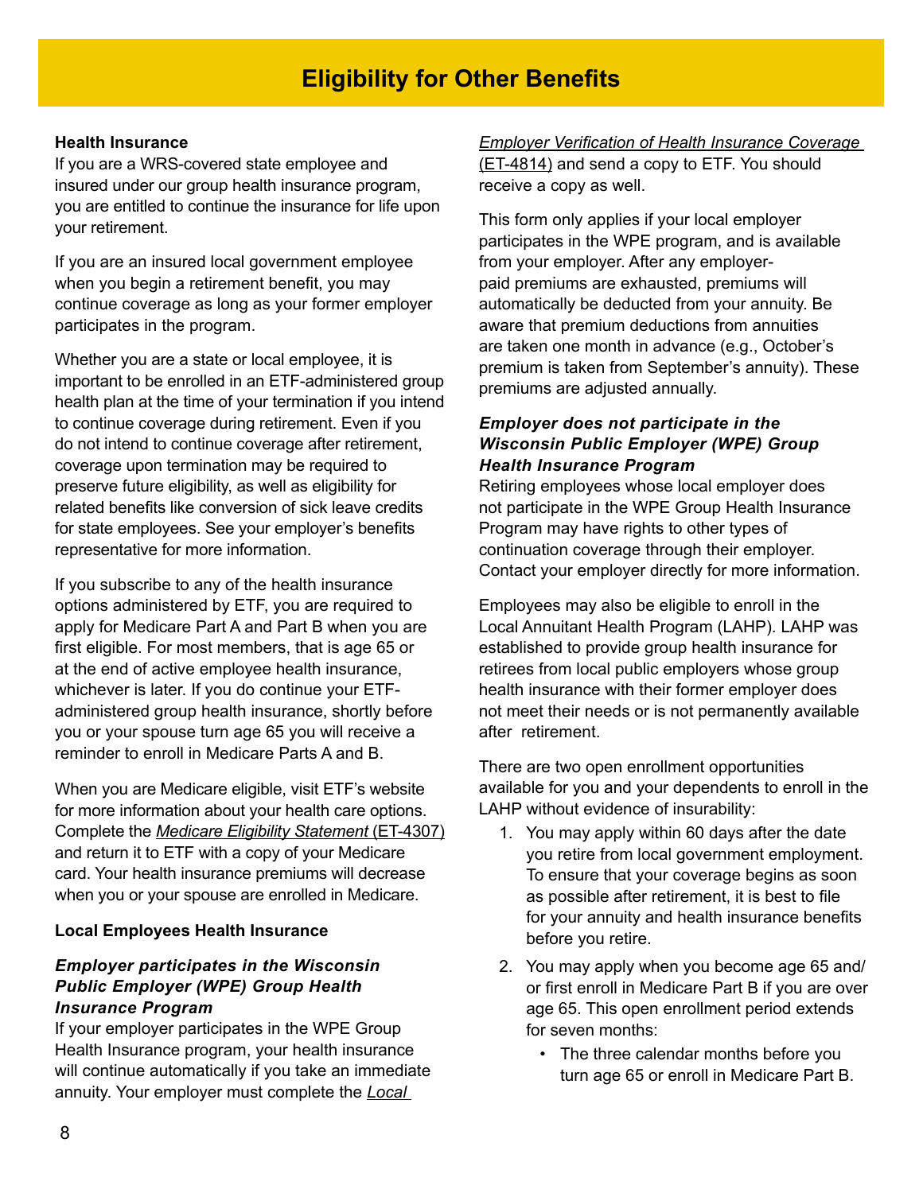#### **Health Insurance**

If you are a WRS-covered state employee and insured under our group health insurance program, you are entitled to continue the insurance for life upon your retirement.

If you are an insured local government employee when you begin a retirement benefit, you may continue coverage as long as your former employer participates in the program.

Whether you are a state or local employee, it is important to be enrolled in an ETF-administered group health plan at the time of your termination if you intend to continue coverage during retirement. Even if you do not intend to continue coverage after retirement, coverage upon termination may be required to preserve future eligibility, as well as eligibility for related benefits like conversion of sick leave credits for state employees. See your employer's benefits representative for more information.

If you subscribe to any of the health insurance options administered by ETF, you are required to apply for Medicare Part A and Part B when you are first eligible. For most members, that is age 65 or at the end of active employee health insurance, whichever is later. If you do continue your ETFadministered group health insurance, shortly before you or your spouse turn age 65 you will receive a reminder to enroll in Medicare Parts A and B.

When you are Medicare eligible, visit ETF's website for more information about your health care options. Complete the *[Medicare Eligibility Statement](http://etf.wi.gov/publications/et4307.pdf)* (ET-4307) and return it to ETF with a copy of your Medicare card. Your health insurance premiums will decrease when you or your spouse are enrolled in Medicare.

#### **Local Employees Health Insurance**

#### *Employer participates in the Wisconsin Public Employer (WPE) Group Health Insurance Program*

If your employer participates in the WPE Group Health Insurance program, your health insurance will continue automatically if you take an immediate annuity. Your employer must complete the *Local* 

*Employer Verification of Health Insurance Coverag[e](http://etf.wi.gov/publications/et4814.pdf)* [\(ET-4814\)](http://etf.wi.gov/publications/et4814.pdf) and send a copy to ETF. You should receive a copy as well.

This form only applies if your local employer participates in the WPE program, and is available from your employer. After any employerpaid premiums are exhausted, premiums will automatically be deducted from your annuity. Be aware that premium deductions from annuities are taken one month in advance (e.g., October's premium is taken from September's annuity). These premiums are adjusted annually.

#### *Employer does not participate in the Wisconsin Public Employer (WPE) Group Health Insurance Program*

Retiring employees whose local employer does not participate in the WPE Group Health Insurance Program may have rights to other types of continuation coverage through their employer. Contact your employer directly for more information.

Employees may also be eligible to enroll in the Local Annuitant Health Program (LAHP). LAHP was established to provide group health insurance for retirees from local public employers whose group health insurance with their former employer does not meet their needs or is not permanently available after retirement.

There are two open enrollment opportunities available for you and your dependents to enroll in the LAHP without evidence of insurability:

- 1. You may apply within 60 days after the date you retire from local government employment. To ensure that your coverage begins as soon as possible after retirement, it is best to file for your annuity and health insurance benefits before you retire.
- 2. You may apply when you become age 65 and/ or first enroll in Medicare Part B if you are over age 65. This open enrollment period extends for seven months:
	- The three calendar months before you turn age 65 or enroll in Medicare Part B.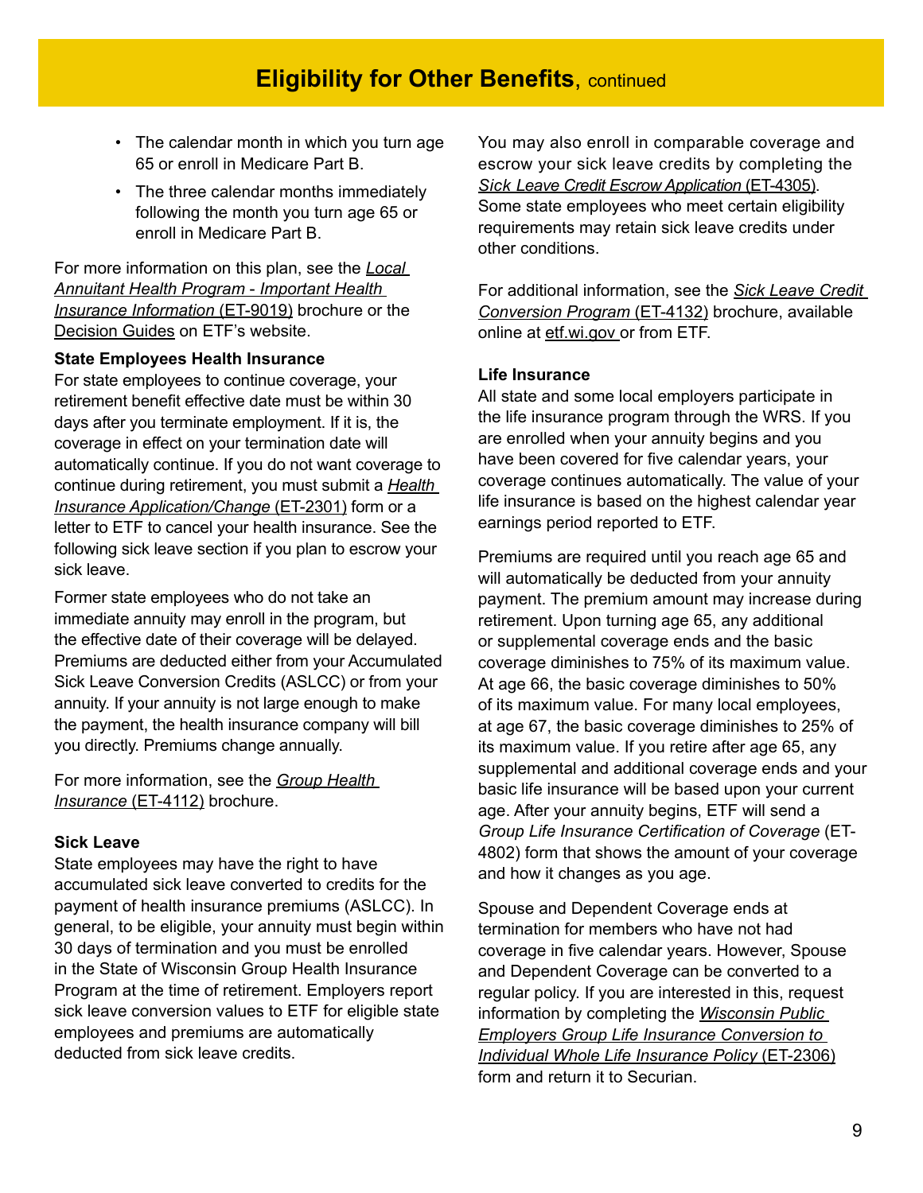- The calendar month in which you turn age 65 or enroll in Medicare Part B.
- The three calendar months immediately following the month you turn age 65 or enroll in Medicare Part B.

For more information on this plan, see the *[Local](http://etf.wi.gov/publications/et9019.pdf)  [Annuitant Health Program](http://etf.wi.gov/publications/et9019.pdf)* - *Important Health [Insurance Information](http://etf.wi.gov/publications/et9019.pdf)* (ET-9019) brochure or the [Decision Guides](https://etf.wi.gov/publications?keywords=Decision%20Guide&field_et_number_value_1=&field_audience_target_id=All) on ETF's website.

#### **State Employees Health Insurance**

For state employees to continue coverage, your retirement benefit effective date must be within 30 days after you terminate employment. If it is, the coverage in effect on your termination date will automatically continue. If you do not want coverage to continue during retirement, you must submit a *[Health](http://etf.wi.gov/publications/et2301.pdf)  [Insurance Application/Change](http://etf.wi.gov/publications/et2301.pdf)* (ET-2301) form or a letter to ETF to cancel your health insurance. See the following sick leave section if you plan to escrow your sick leave.

Former state employees who do not take an immediate annuity may enroll in the program, but the effective date of their coverage will be delayed. Premiums are deducted either from your Accumulated Sick Leave Conversion Credits (ASLCC) or from your annuity. If your annuity is not large enough to make the payment, the health insurance company will bill you directly. Premiums change annually.

For more information, see the *[Group Health](http://etf.wi.gov/publications/et4112.pdf)  [Insurance](http://etf.wi.gov/publications/et4112.pdf)* (ET-4112) brochure.

#### **Sick Leave**

State employees may have the right to have accumulated sick leave converted to credits for the payment of health insurance premiums (ASLCC). In general, to be eligible, your annuity must begin within 30 days of termination and you must be enrolled in the State of Wisconsin Group Health Insurance Program at the time of retirement. Employers report sick leave conversion values to ETF for eligible state employees and premiums are automatically deducted from sick leave credits.

You may also enroll in comparable coverage and escrow your sick leave credits by completing the *Sick [Leave Credit Escrow Application](http://etf.wi.gov/publications/et4305.pdf)* (ET-4305). Some state employees who meet certain eligibility requirements may retain sick leave credits under other conditions.

For additional information, see the *[Sick Leave Credit](http://etf.wi.gov/publications/et4132.pdf)  [Conversion Program](http://etf.wi.gov/publications/et4132.pdf)* (ET-4132) brochure, available online at [etf.wi.gov](http://etf.wi.gov ) or from ETF.

#### **Life Insurance**

All state and some local employers participate in the life insurance program through the WRS. If you are enrolled when your annuity begins and you have been covered for five calendar years, your coverage continues automatically. The value of your life insurance is based on the highest calendar year earnings period reported to ETF.

Premiums are required until you reach age 65 and will automatically be deducted from your annuity payment. The premium amount may increase during retirement. Upon turning age 65, any additional or supplemental coverage ends and the basic coverage diminishes to 75% of its maximum value. At age 66, the basic coverage diminishes to 50% of its maximum value. For many local employees, at age 67, the basic coverage diminishes to 25% of its maximum value. If you retire after age 65, any supplemental and additional coverage ends and your basic life insurance will be based upon your current age. After your annuity begins, ETF will send a *Group Life Insurance Certification of Coverage* (ET-4802) form that shows the amount of your coverage and how it changes as you age.

Spouse and Dependent Coverage ends at termination for members who have not had coverage in five calendar years. However, Spouse and Dependent Coverage can be converted to a regular policy. If you are interested in this, request information by completing the *Wisconsin Public Employers Group Life Insurance Conversion to [Individual Whole Life Insurance Policy](http://etf.wi.gov/publications/et2306.pdf)* (ET-2306) form and return it to Securian.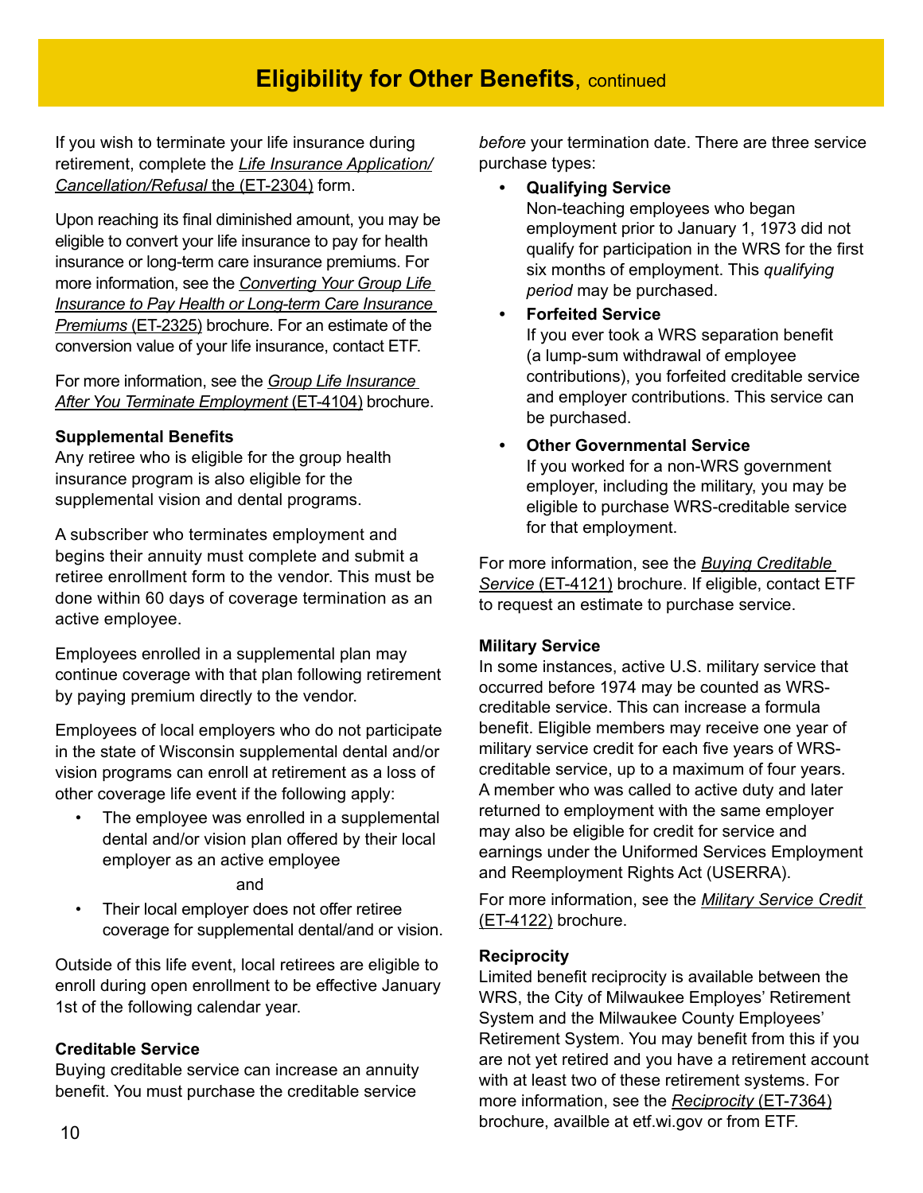# **Eligibility for Other Benefits, continued**

If you wish to terminate your life insurance during retirement, complete the *Life Insurance Application/ Cancellation/Refusal* [the \(ET-2304\) form.](http://etf.wi.gov/publications/et2304.pdf)

Upon reaching its final diminished amount, you may be eligible to convert your life insurance to pay for health insurance or long-term care insurance premiums. For more information, see the *[Converting Your Group Life](http://etf.wi.gov/publications/et2325.pdf)  [Insurance to Pay Health or Long-term Care Insurance](http://etf.wi.gov/publications/et2325.pdf)  Premiums* [\(ET-2325\)](http://etf.wi.gov/publications/et2325.pdf) brochure. For an estimate of the conversion value of your life insurance, contact ETF.

For more information, see the *[Group Life Insurance](http://etf.wi.gov/publications/et4104.pdf)  [After You Terminate Employment](http://etf.wi.gov/publications/et4104.pdf)* (ET-4104) brochure.

#### **Supplemental Benefits**

Any retiree who is eligible for the group health insurance program is also eligible for the supplemental vision and dental programs.

A subscriber who terminates employment and begins their annuity must complete and submit a retiree enrollment form to the vendor. This must be done within 60 days of coverage termination as an active employee.

Employees enrolled in a supplemental plan may continue coverage with that plan following retirement by paying premium directly to the vendor.

Employees of local employers who do not participate in the state of Wisconsin supplemental dental and/or vision programs can enroll at retirement as a loss of other coverage life event if the following apply:

The employee was enrolled in a supplemental dental and/or vision plan offered by their local employer as an active employee

#### and

• Their local employer does not offer retiree coverage for supplemental dental/and or vision.

Outside of this life event, local retirees are eligible to enroll during open enrollment to be effective January 1st of the following calendar year.

#### **Creditable Service**

Buying creditable service can increase an annuity benefit. You must purchase the creditable service

*before* your termination date. There are three service purchase types:

**• Qualifying Service**

Non-teaching employees who began employment prior to January 1, 1973 did not qualify for participation in the WRS for the first six months of employment. This *qualifying period* may be purchased.

#### **• Forfeited Service**

If you ever took a WRS separation benefit (a lump-sum withdrawal of employee contributions), you forfeited creditable service and employer contributions. This service can be purchased.

#### **• Other Governmental Service**

If you worked for a non-WRS government employer, including the military, you may be eligible to purchase WRS-creditable service for that employment.

For more information, see the *[Buying Creditable](http://etf.wi.gov/publications/et4121.pdf)  Service* [\(ET-4121\)](http://etf.wi.gov/publications/et4121.pdf) brochure. If eligible, contact ETF to request an estimate to purchase service.

#### **Military Service**

In some instances, active U.S. military service that occurred before 1974 may be counted as WRScreditable service. This can increase a formula benefit. Eligible members may receive one year of military service credit for each five years of WRScreditable service, up to a maximum of four years. A member who was called to active duty and later returned to employment with the same employer may also be eligible for credit for service and earnings under the Uniformed Services Employment and Reemployment Rights Act (USERRA).

For more information, see the *[Military Service Credit](http://etf.wi.gov/publications/et4122.pdf)* [\(ET-4122\)](http://etf.wi.gov/publications/et4122.pdf) brochure.

#### **Reciprocity**

Limited benefit reciprocity is available between the WRS, the City of Milwaukee Employes' Retirement System and the Milwaukee County Employees' Retirement System. You may benefit from this if you are not yet retired and you have a retirement account with at least two of these retirement systems. For more information, see the *[Reciprocity](http://etf.wi.gov/publications/et7364.pdf)* (ET-7364) brochure, availble at etf.wi.gov or from ETF.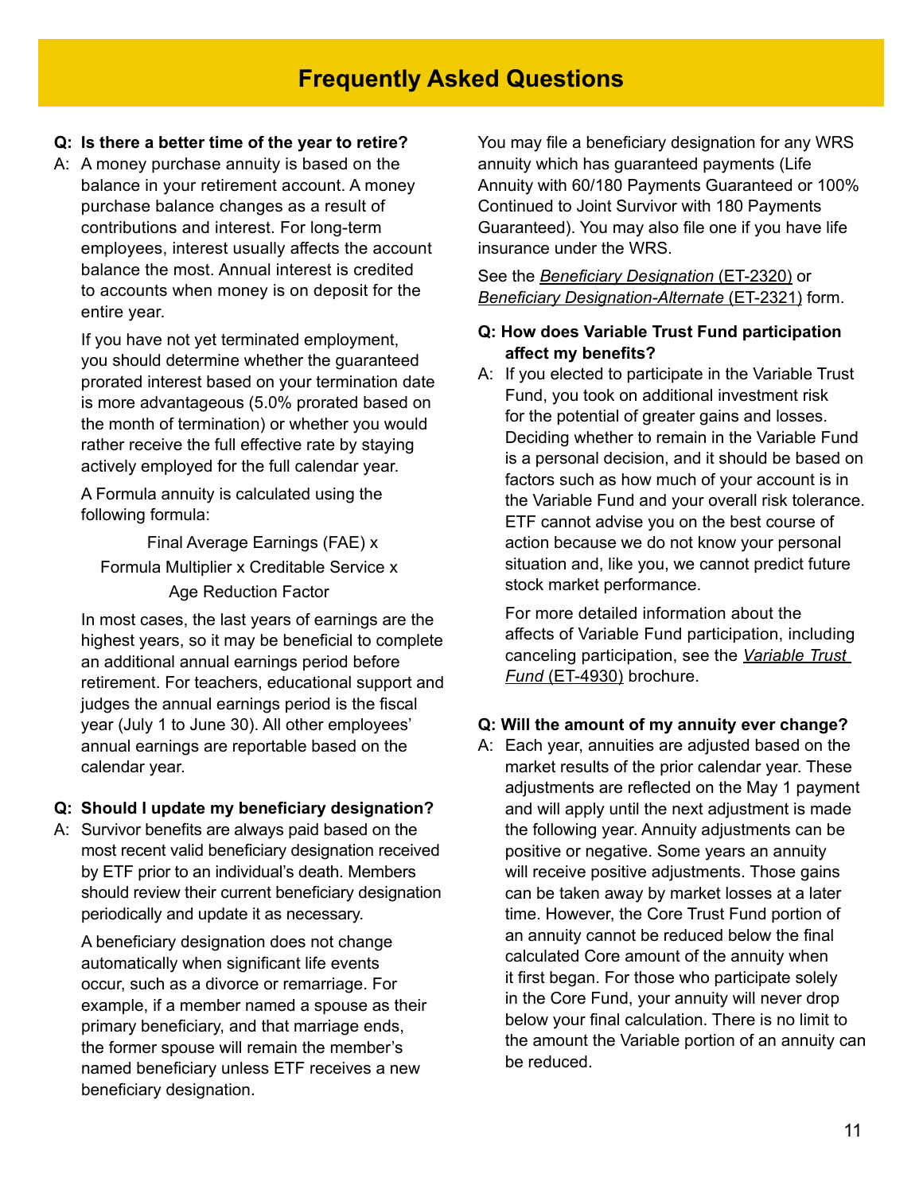#### **Q: Is there a better time of the year to retire?**

A: A money purchase annuity is based on the balance in your retirement account. A money purchase balance changes as a result of contributions and interest. For long-term employees, interest usually affects the account balance the most. Annual interest is credited to accounts when money is on deposit for the entire year.

If you have not yet terminated employment, you should determine whether the guaranteed prorated interest based on your termination date is more advantageous (5.0% prorated based on the month of termination) or whether you would rather receive the full effective rate by staying actively employed for the full calendar year.

A Formula annuity is calculated using the following formula:

Final Average Earnings (FAE) x Formula Multiplier x Creditable Service x Age Reduction Factor

In most cases, the last years of earnings are the highest years, so it may be beneficial to complete an additional annual earnings period before retirement. For teachers, educational support and judges the annual earnings period is the fiscal year (July 1 to June 30). All other employees' annual earnings are reportable based on the calendar year.

#### **Q: Should I update my beneficiary designation?**

A: Survivor benefits are always paid based on the most recent valid beneficiary designation received by ETF prior to an individual's death. Members should review their current beneficiary designation periodically and update it as necessary.

A beneficiary designation does not change automatically when significant life events occur, such as a divorce or remarriage. For example, if a member named a spouse as their primary beneficiary, and that marriage ends, the former spouse will remain the member's named beneficiary unless ETF receives a new beneficiary designation.

You may file a beneficiary designation for any WRS annuity which has guaranteed payments (Life Annuity with 60/180 Payments Guaranteed or 100% Continued to Joint Survivor with 180 Payments Guaranteed). You may also file one if you have life insurance under the WRS.

#### See the *[Beneficiary Designation](http://etf.wi.gov/publications/et2320.pdf)* (ET-2320) or *[Beneficiary Designation-Alternate](http://etf.wi.gov/publications/et2321.pdf)* (ET-2321) form.

#### **Q: How does Variable Trust Fund participation affect my benefits?**

A: If you elected to participate in the Variable Trust Fund, you took on additional investment risk for the potential of greater gains and losses. Deciding whether to remain in the Variable Fund is a personal decision, and it should be based on factors such as how much of your account is in the Variable Fund and your overall risk tolerance. ETF cannot advise you on the best course of action because we do not know your personal situation and, like you, we cannot predict future stock market performance.

For more detailed information about the affects of Variable Fund participation, including canceling participation, see the *[Variable Trust](http://etf.wi.gov/publications/et4930.pdf)  Fund* [\(ET-4930\)](http://etf.wi.gov/publications/et4930.pdf) brochure.

#### **Q: Will the amount of my annuity ever change?**

A: Each year, annuities are adjusted based on the market results of the prior calendar year. These adjustments are reflected on the May 1 payment and will apply until the next adjustment is made the following year. Annuity adjustments can be positive or negative. Some years an annuity will receive positive adjustments. Those gains can be taken away by market losses at a later time. However, the Core Trust Fund portion of an annuity cannot be reduced below the final calculated Core amount of the annuity when it first began. For those who participate solely in the Core Fund, your annuity will never drop below your final calculation. There is no limit to the amount the Variable portion of an annuity can be reduced.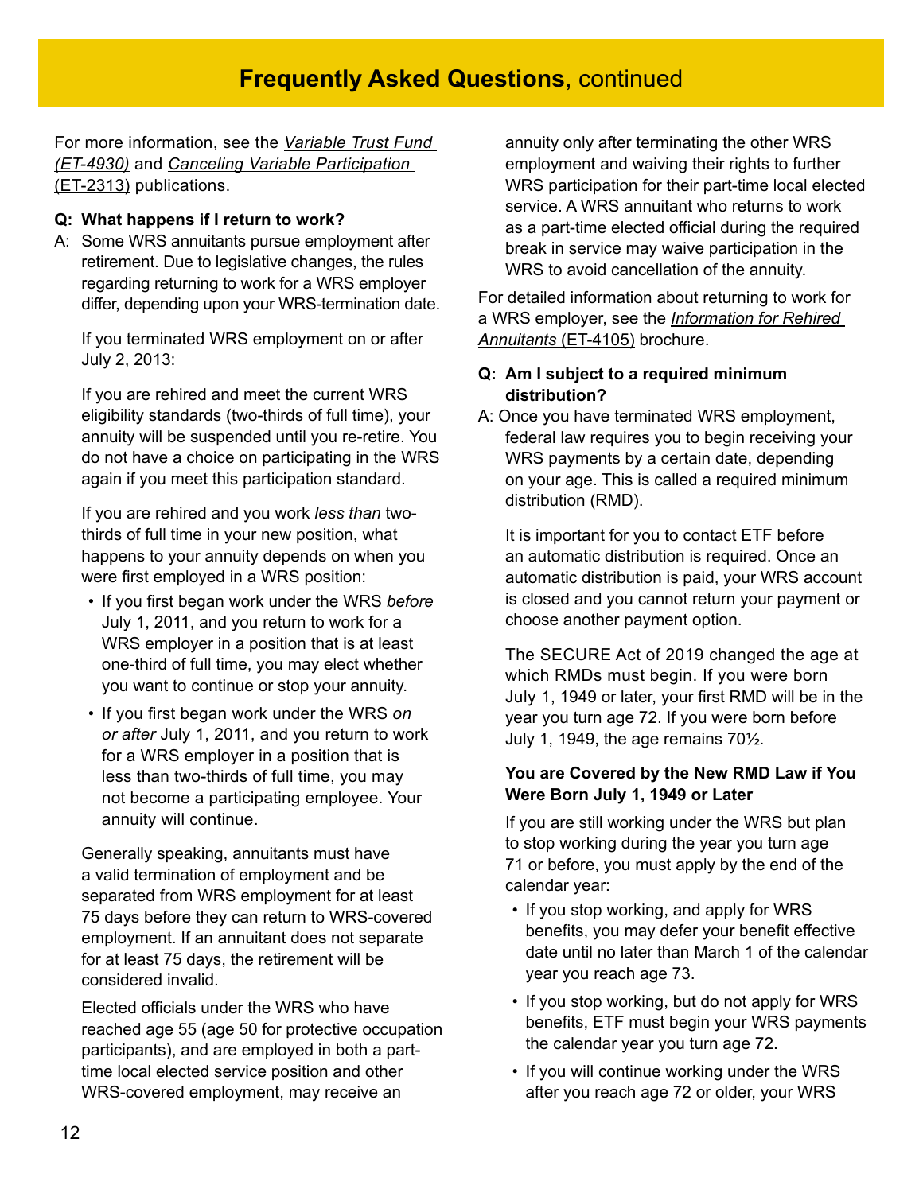For more information, see the *[Variable Trust Fund](http://etf.wi.gov/publications/et4930.pdf)  [\(ET-4930\)](http://etf.wi.gov/publications/et4930.pdf)* and *[Canceling Variable Participation](http://etf.wi.gov/publications/et2313.pdf)* [\(ET-2313\)](http://etf.wi.gov/publications/et2313.pdf) publications.

#### **Q: What happens if I return to work?**

A: Some WRS annuitants pursue employment after retirement. Due to legislative changes, the rules regarding returning to work for a WRS employer differ, depending upon your WRS-termination date.

If you terminated WRS employment on or after July 2, 2013:

If you are rehired and meet the current WRS eligibility standards (two-thirds of full time), your annuity will be suspended until you re-retire. You do not have a choice on participating in the WRS again if you meet this participation standard.

If you are rehired and you work *less than* twothirds of full time in your new position, what happens to your annuity depends on when you were first employed in a WRS position:

- If you first began work under the WRS *before* July 1, 2011, and you return to work for a WRS employer in a position that is at least one-third of full time, you may elect whether you want to continue or stop your annuity.
- If you first began work under the WRS *on or after* July 1, 2011, and you return to work for a WRS employer in a position that is less than two-thirds of full time, you may not become a participating employee. Your annuity will continue.

Generally speaking, annuitants must have a valid termination of employment and be separated from WRS employment for at least 75 days before they can return to WRS-covered employment. If an annuitant does not separate for at least 75 days, the retirement will be considered invalid.

Elected officials under the WRS who have reached age 55 (age 50 for protective occupation participants), and are employed in both a parttime local elected service position and other WRS-covered employment, may receive an

annuity only after terminating the other WRS employment and waiving their rights to further WRS participation for their part-time local elected service. A WRS annuitant who returns to work as a part-time elected official during the required break in service may waive participation in the WRS to avoid cancellation of the annuity.

For detailed information about returning to work for a WRS employer, see the *[Information for Rehired](http://etf.wi.gov/publications/et4105.pdf)  [Annuitants](http://etf.wi.gov/publications/et4105.pdf)* (ET-4105) brochure.

#### **Q: Am I subject to a required minimum distribution?**

A: Once you have terminated WRS employment, federal law requires you to begin receiving your WRS payments by a certain date, depending on your age. This is called a required minimum distribution (RMD).

It is important for you to contact ETF before an automatic distribution is required. Once an automatic distribution is paid, your WRS account is closed and you cannot return your payment or choose another payment option.

The SECURE Act of 2019 changed the age at which RMDs must begin. If you were born July 1, 1949 or later, your first RMD will be in the year you turn age 72. If you were born before July 1, 1949, the age remains  $70\frac{1}{2}$ .

#### **You are Covered by the New RMD Law if You Were Born July 1, 1949 or Later**

If you are still working under the WRS but plan to stop working during the year you turn age 71 or before, you must apply by the end of the calendar year:

- If you stop working, and apply for WRS benefits, you may defer your benefit effective date until no later than March 1 of the calendar year you reach age 73.
- If you stop working, but do not apply for WRS benefits, ETF must begin your WRS payments the calendar year you turn age 72.
- If you will continue working under the WRS after you reach age 72 or older, your WRS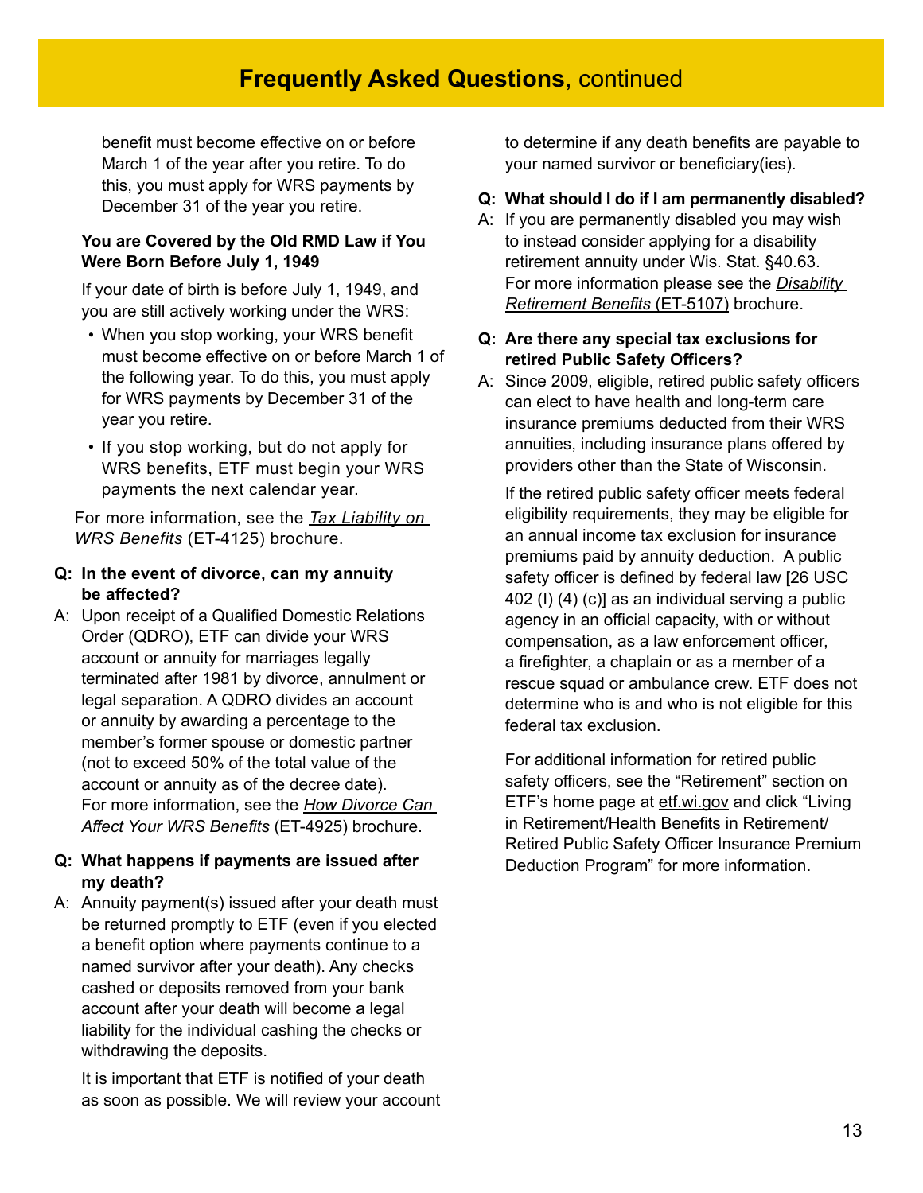benefit must become effective on or before March 1 of the year after you retire. To do this, you must apply for WRS payments by December 31 of the year you retire.

#### **You are Covered by the Old RMD Law if You Were Born Before July 1, 1949**

If your date of birth is before July 1, 1949, and you are still actively working under the WRS:

- When you stop working, your WRS benefit must become effective on or before March 1 of the following year. To do this, you must apply for WRS payments by December 31 of the year you retire.
- If you stop working, but do not apply for WRS benefits, ETF must begin your WRS payments the next calendar year.

For more information, see the *[Tax Liability on](http://etf.wi.gov/publications/et4125.pdf)  [WRS Benefits](http://etf.wi.gov/publications/et4125.pdf)* (ET-4125) brochure.

- **Q: In the event of divorce, can my annuity be affected?**
- A: Upon receipt of a Qualified Domestic Relations Order (QDRO), ETF can divide your WRS account or annuity for marriages legally terminated after 1981 by divorce, annulment or legal separation. A QDRO divides an account or annuity by awarding a percentage to the member's former spouse or domestic partner (not to exceed 50% of the total value of the account or annuity as of the decree date). For more information, see the *[How Divorce Can](http://etf.wi.gov/publications/et4925.pdf)  [Affect Your WRS Benefits](http://etf.wi.gov/publications/et4925.pdf)* (ET-4925) brochure.

#### **Q: What happens if payments are issued after my death?**

A: Annuity payment(s) issued after your death must be returned promptly to ETF (even if you elected a benefit option where payments continue to a named survivor after your death). Any checks cashed or deposits removed from your bank account after your death will become a legal liability for the individual cashing the checks or withdrawing the deposits.

It is important that ETF is notified of your death as soon as possible. We will review your account to determine if any death benefits are payable to your named survivor or beneficiary(ies).

#### **Q: What should I do if I am permanently disabled?**

A: If you are permanently disabled you may wish to instead consider applying for a disability retirement annuity under Wis. Stat. §40.63. For more information please see the *[Disability](https://etf.wi.gov/publications/et5107pdf/download?inline=)  [Retirement Benefits](https://etf.wi.gov/publications/et5107pdf/download?inline=)* (ET-5107) brochure.

#### **Q: Are there any special tax exclusions for retired Public Safety Officers?**

A: Since 2009, eligible, retired public safety officers can elect to have health and long-term care insurance premiums deducted from their WRS annuities, including insurance plans offered by providers other than the State of Wisconsin.

If the retired public safety officer meets federal eligibility requirements, they may be eligible for an annual income tax exclusion for insurance premiums paid by annuity deduction. A public safety officer is defined by federal law [26 USC 402 (I) (4) (c)] as an individual serving a public agency in an official capacity, with or without compensation, as a law enforcement officer, a firefighter, a chaplain or as a member of a rescue squad or ambulance crew. ETF does not determine who is and who is not eligible for this federal tax exclusion.

For additional information for retired public safety officers, see the "Retirement" section on ETF's home page at [etf.wi.gov](http://etf.wi.gov) and click "Living in Retirement/Health Benefits in Retirement/ Retired Public Safety Officer Insurance Premium Deduction Program" for more information.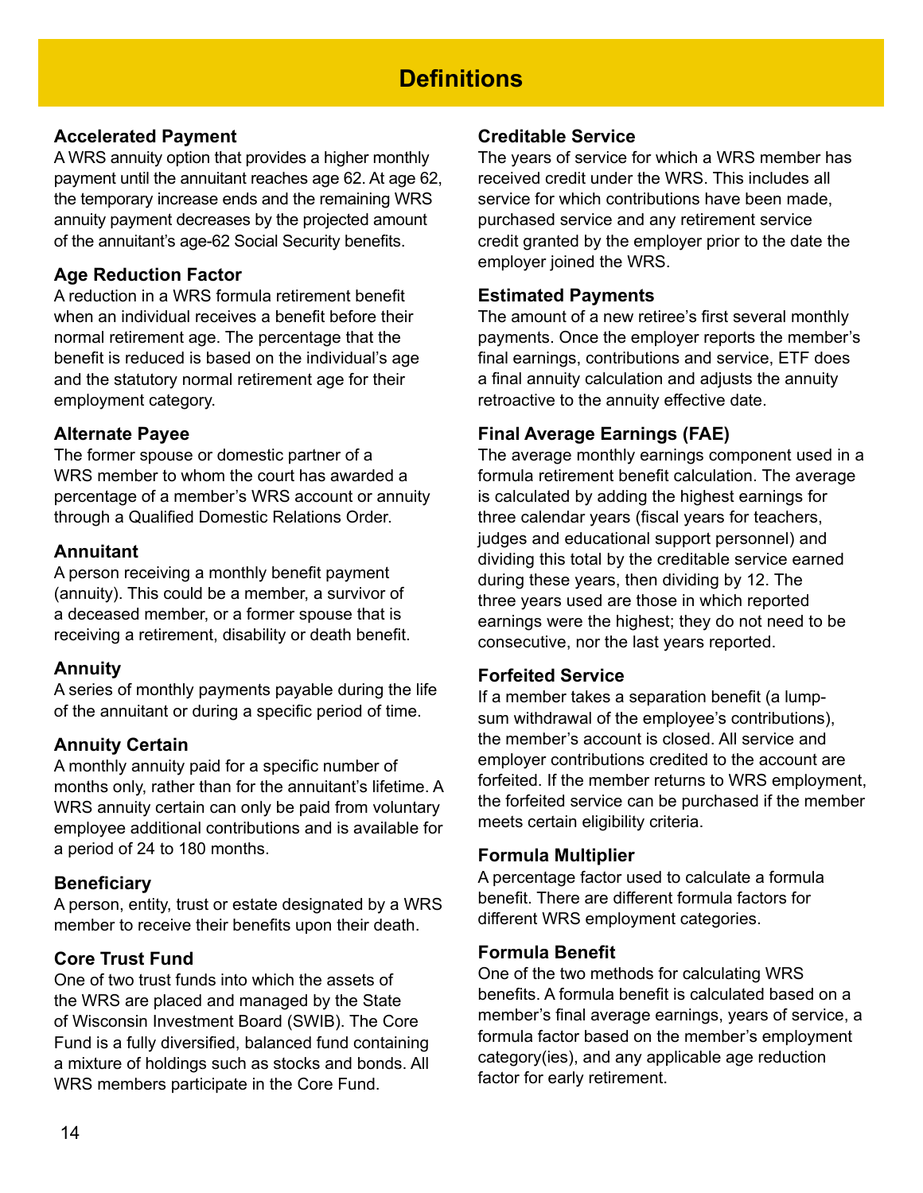# **Definitions**

# **Accelerated Payment**

A WRS annuity option that provides a higher monthly payment until the annuitant reaches age 62. At age 62, the temporary increase ends and the remaining WRS annuity payment decreases by the projected amount of the annuitant's age-62 Social Security benefits.

## **Age Reduction Factor**

A reduction in a WRS formula retirement benefit when an individual receives a benefit before their normal retirement age. The percentage that the benefit is reduced is based on the individual's age and the statutory normal retirement age for their employment category.

# **Alternate Payee**

The former spouse or domestic partner of a WRS member to whom the court has awarded a percentage of a member's WRS account or annuity through a Qualified Domestic Relations Order.

## **Annuitant**

A person receiving a monthly benefit payment (annuity). This could be a member, a survivor of a deceased member, or a former spouse that is receiving a retirement, disability or death benefit.

# **Annuity**

A series of monthly payments payable during the life of the annuitant or during a specific period of time.

# **Annuity Certain**

A monthly annuity paid for a specific number of months only, rather than for the annuitant's lifetime. A WRS annuity certain can only be paid from voluntary employee additional contributions and is available for a period of 24 to 180 months.

## **Beneficiary**

A person, entity, trust or estate designated by a WRS member to receive their benefits upon their death.

# **Core Trust Fund**

One of two trust funds into which the assets of the WRS are placed and managed by the State of Wisconsin Investment Board (SWIB). The Core Fund is a fully diversified, balanced fund containing a mixture of holdings such as stocks and bonds. All WRS members participate in the Core Fund.

## **Creditable Service**

The years of service for which a WRS member has received credit under the WRS. This includes all service for which contributions have been made, purchased service and any retirement service credit granted by the employer prior to the date the employer joined the WRS.

#### **Estimated Payments**

The amount of a new retiree's first several monthly payments. Once the employer reports the member's final earnings, contributions and service, ETF does a final annuity calculation and adjusts the annuity retroactive to the annuity effective date.

# **Final Average Earnings (FAE)**

The average monthly earnings component used in a formula retirement benefit calculation. The average is calculated by adding the highest earnings for three calendar years (fiscal years for teachers, judges and educational support personnel) and dividing this total by the creditable service earned during these years, then dividing by 12. The three years used are those in which reported earnings were the highest; they do not need to be consecutive, nor the last years reported.

## **Forfeited Service**

If a member takes a separation benefit (a lumpsum withdrawal of the employee's contributions), the member's account is closed. All service and employer contributions credited to the account are forfeited. If the member returns to WRS employment, the forfeited service can be purchased if the member meets certain eligibility criteria.

## **Formula Multiplier**

A percentage factor used to calculate a formula benefit. There are different formula factors for different WRS employment categories.

#### **Formula Benefit**

One of the two methods for calculating WRS benefits. A formula benefit is calculated based on a member's final average earnings, years of service, a formula factor based on the member's employment category(ies), and any applicable age reduction factor for early retirement.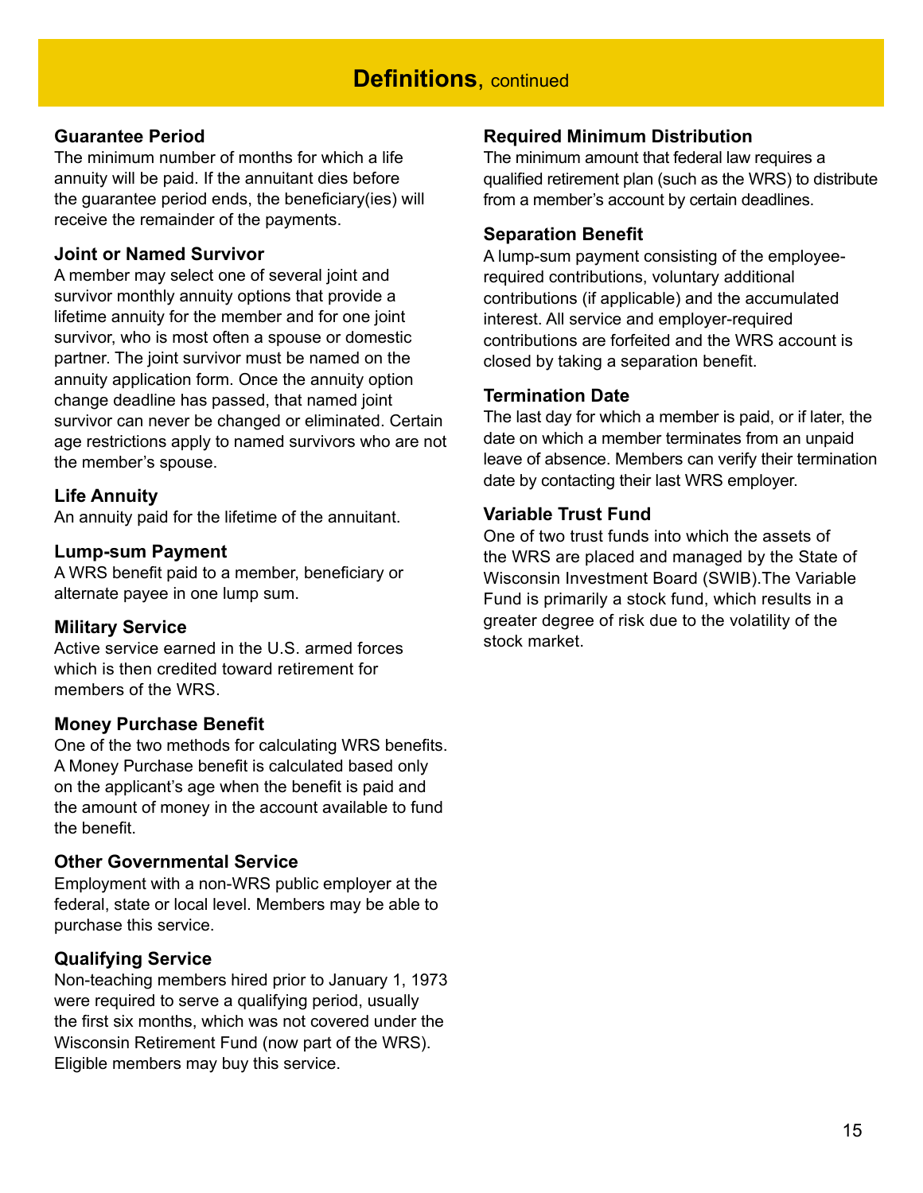#### **Guarantee Period**

The minimum number of months for which a life annuity will be paid. If the annuitant dies before the guarantee period ends, the beneficiary(ies) will receive the remainder of the payments.

#### **Joint or Named Survivor**

A member may select one of several joint and survivor monthly annuity options that provide a lifetime annuity for the member and for one joint survivor, who is most often a spouse or domestic partner. The joint survivor must be named on the annuity application form. Once the annuity option change deadline has passed, that named joint survivor can never be changed or eliminated. Certain age restrictions apply to named survivors who are not the member's spouse.

#### **Life Annuity**

An annuity paid for the lifetime of the annuitant.

#### **Lump-sum Payment**

A WRS benefit paid to a member, beneficiary or alternate payee in one lump sum.

#### **Military Service**

Active service earned in the U.S. armed forces which is then credited toward retirement for members of the WRS.

#### **Money Purchase Benefit**

One of the two methods for calculating WRS benefits. A Money Purchase benefit is calculated based only on the applicant's age when the benefit is paid and the amount of money in the account available to fund the benefit.

#### **Other Governmental Service**

Employment with a non-WRS public employer at the federal, state or local level. Members may be able to purchase this service.

#### **Qualifying Service**

Non-teaching members hired prior to January 1, 1973 were required to serve a qualifying period, usually the first six months, which was not covered under the Wisconsin Retirement Fund (now part of the WRS). Eligible members may buy this service.

#### **Required Minimum Distribution**

The minimum amount that federal law requires a qualified retirement plan (such as the WRS) to distribute from a member's account by certain deadlines.

#### **Separation Benefit**

A lump-sum payment consisting of the employeerequired contributions, voluntary additional contributions (if applicable) and the accumulated interest. All service and employer-required contributions are forfeited and the WRS account is closed by taking a separation benefit.

#### **Termination Date**

The last day for which a member is paid, or if later, the date on which a member terminates from an unpaid leave of absence. Members can verify their termination date by contacting their last WRS employer.

#### **Variable Trust Fund**

One of two trust funds into which the assets of the WRS are placed and managed by the State of Wisconsin Investment Board (SWIB).The Variable Fund is primarily a stock fund, which results in a greater degree of risk due to the volatility of the stock market.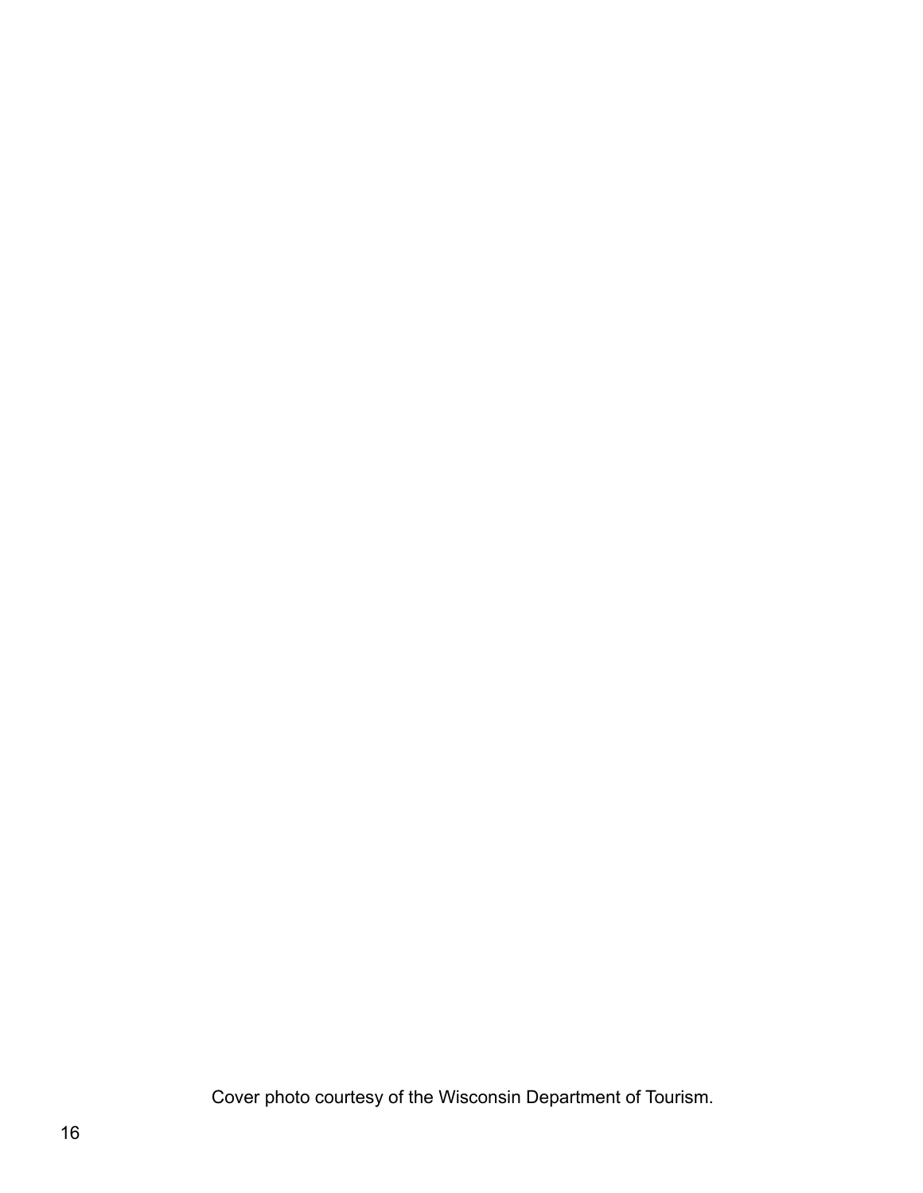Cover photo courtesy of the Wisconsin Department of Tourism.